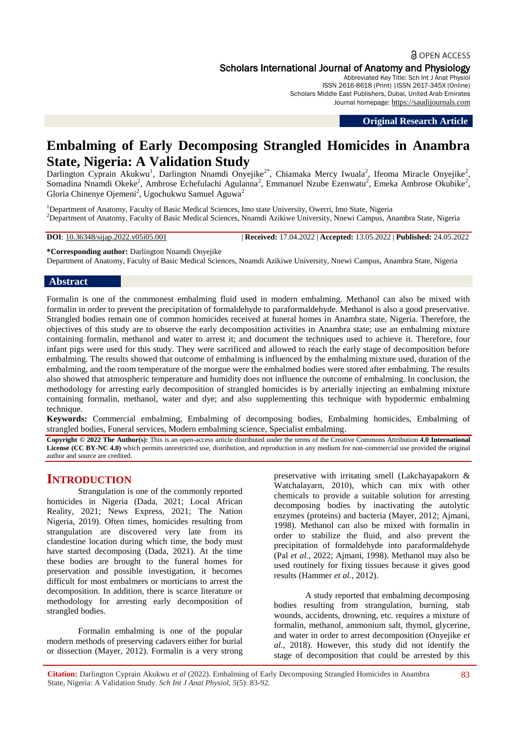# **a** OPEN ACCESS

Scholars International Journal of Anatomy and Physiology

Abbreviated Key Title: Sch Int J Anat Physiol ISSN 2616-8618 (Print) |ISSN 2617-345X (Online) Scholars Middle East Publishers, Dubai, United Arab Emirates Journal homepage: [https://saudijournals.com](https://saudijournals.com/sijap)

**Original Research Article**

# **Embalming of Early Decomposing Strangled Homicides in Anambra State, Nigeria: A Validation Study**

Darlington Cyprain Akukwu<sup>1</sup>, Darlington Nnamdi Onyejike<sup>2\*</sup>, Chiamaka Mercy Iwuala<sup>2</sup>, Ifeoma Miracle Onyejike<sup>2</sup>, Somadina Nnamdi Okeke<sup>2</sup>, Ambrose Echefulachi Agulanna<sup>2</sup>, Emmanuel Nzube Ezenwatu<sup>2</sup>, Emeka Ambrose Okubike<sup>2</sup>, Gloria Chinenye Ojemeni<sup>2</sup>, Ugochukwu Samuel Aguwa<sup>2</sup>

<sup>1</sup>Department of Anatomy, Faculty of Basic Medical Sciences, Imo state University, Owerri, Imo State, Nigeria <sup>2</sup>Department of Anatomy, Faculty of Basic Medical Sciences, Nnamdi Azikiwe University, Nnewi Campus, Anambra State, Nigeria

**DOI**: 10.36348/sijap.2022.v05i05.001 | **Received:** 17.04.2022 | **Accepted:** 13.05.2022 | **Published:** 24.05.2022

**\*Corresponding author:** Darlington Nnamdi Onyejike Department of Anatomy, Faculty of Basic Medical Sciences, Nnamdi Azikiwe University, Nnewi Campus, Anambra State, Nigeria

# **Abstract**

Formalin is one of the commonest embalming fluid used in modern embalming. Methanol can also be mixed with formalin in order to prevent the precipitation of formaldehyde to paraformaldehyde. Methanol is also a good preservative. Strangled bodies remain one of common homicides received at funeral homes in Anambra state, Nigeria. Therefore, the objectives of this study are to observe the early decomposition activities in Anambra state; use an embalming mixture containing formalin, methanol and water to arrest it; and document the techniques used to achieve it. Therefore, four infant pigs were used for this study. They were sacrificed and allowed to reach the early stage of decomposition before embalming. The results showed that outcome of embalming is influenced by the embalming mixture used, duration of the embalming, and the room temperature of the morgue were the embalmed bodies were stored after embalming. The results also showed that atmospheric temperature and humidity does not influence the outcome of embalming. In conclusion, the methodology for arresting early decomposition of strangled homicides is by arterially injecting an embalming mixture containing formalin, methanol, water and dye; and also supplementing this technique with hypodermic embalming technique.

**Keywords:** Commercial embalming, Embalming of decomposing bodies, Embalming homicides, Embalming of strangled bodies, Funeral services, Modern embalming science, Specialist embalming.

**Copyright © 2022 The Author(s):** This is an open-access article distributed under the terms of the Creative Commons Attribution **4.0 International**  License (CC BY-NC 4.0) which permits unrestricted use, distribution, and reproduction in any medium for non-commercial use provided the original author and source are credited.

# **INTRODUCTION**

Strangulation is one of the commonly reported homicides in Nigeria (Dada, 2021; Local African Reality, 2021; News Express, 2021; The Nation Nigeria, 2019). Often times, homicides resulting from strangulation are discovered very late from its clandestine location during which time, the body must have started decomposing (Dada, 2021). At the time these bodies are brought to the funeral homes for preservation and possible investigation, it becomes difficult for most embalmers or morticians to arrest the decomposition. In addition, there is scarce literature or methodology for arresting early decomposition of strangled bodies.

Formalin embalming is one of the popular modern methods of preserving cadavers either for burial or dissection (Mayer, 2012). Formalin is a very strong preservative with irritating smell (Lakchayapakorn & Watchalayarn, 2010), which can mix with other chemicals to provide a suitable solution for arresting decomposing bodies by inactivating the autolytic enzymes (proteins) and bacteria (Mayer, 2012; Ajmani, 1998). Methanol can also be mixed with formalin in order to stabilize the fluid, and also prevent the precipitation of formaldehyde into paraformaldehyde (Pal *et al.*, 2022; Ajmani, 1998). Methanol may also be used routinely for fixing tissues because it gives good results (Hammer *et al.,* 2012).

A study reported that embalming decomposing bodies resulting from strangulation, burning, stab wounds, accidents, drowning, etc. requires a mixture of formalin, methanol, ammonium salt, thymol, glycerine, and water in order to arrest decomposition (Onyejike *et al.,* 2018). However, this study did not identify the stage of decomposition that could be arrested by this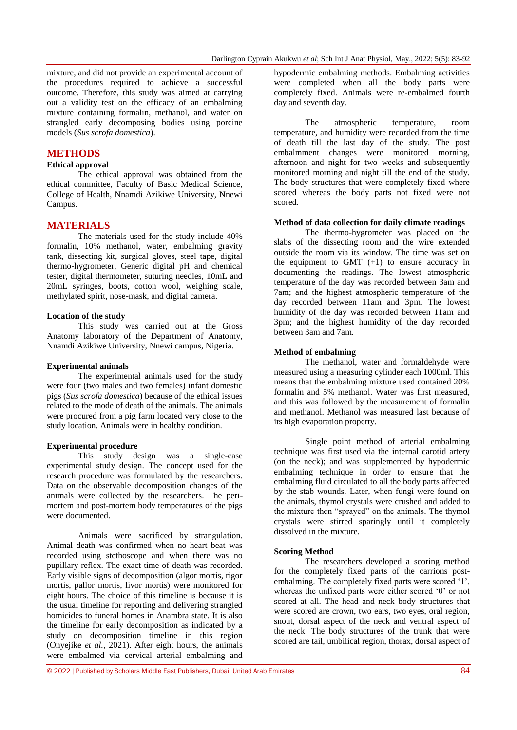mixture, and did not provide an experimental account of the procedures required to achieve a successful outcome. Therefore, this study was aimed at carrying out a validity test on the efficacy of an embalming mixture containing formalin, methanol, and water on strangled early decomposing bodies using porcine models (*Sus scrofa domestica*).

# **METHODS**

# **Ethical approval**

The ethical approval was obtained from the ethical committee, Faculty of Basic Medical Science, College of Health, Nnamdi Azikiwe University, Nnewi Campus.

# **MATERIALS**

The materials used for the study include 40% formalin, 10% methanol, water, embalming gravity tank, dissecting kit, surgical gloves, steel tape, digital thermo-hygrometer, Generic digital pH and chemical tester, digital thermometer, suturing needles, 10mL and 20mL syringes, boots, cotton wool, weighing scale, methylated spirit, nose-mask, and digital camera.

#### **Location of the study**

This study was carried out at the Gross Anatomy laboratory of the Department of Anatomy, Nnamdi Azikiwe University, Nnewi campus, Nigeria.

#### **Experimental animals**

The experimental animals used for the study were four (two males and two females) infant domestic pigs (*Sus scrofa domestica*) because of the ethical issues related to the mode of death of the animals. The animals were procured from a pig farm located very close to the study location. Animals were in healthy condition.

### **Experimental procedure**

This study design was a single-case experimental study design. The concept used for the research procedure was formulated by the researchers. Data on the observable decomposition changes of the animals were collected by the researchers. The perimortem and post-mortem body temperatures of the pigs were documented.

Animals were sacrificed by strangulation. Animal death was confirmed when no heart beat was recorded using stethoscope and when there was no pupillary reflex. The exact time of death was recorded. Early visible signs of decomposition (algor mortis, rigor mortis, pallor mortis, livor mortis) were monitored for eight hours. The choice of this timeline is because it is the usual timeline for reporting and delivering strangled homicides to funeral homes in Anambra state. It is also the timeline for early decomposition as indicated by a study on decomposition timeline in this region (Onyejike *et al.*, 2021). After eight hours, the animals were embalmed via cervical arterial embalming and

hypodermic embalming methods. Embalming activities were completed when all the body parts were completely fixed. Animals were re-embalmed fourth day and seventh day.

The atmospheric temperature, room temperature, and humidity were recorded from the time of death till the last day of the study. The post embalmment changes were monitored morning, afternoon and night for two weeks and subsequently monitored morning and night till the end of the study. The body structures that were completely fixed where scored whereas the body parts not fixed were not scored.

#### **Method of data collection for daily climate readings**

The thermo-hygrometer was placed on the slabs of the dissecting room and the wire extended outside the room via its window. The time was set on the equipment to GMT  $(+1)$  to ensure accuracy in documenting the readings. The lowest atmospheric temperature of the day was recorded between 3am and 7am; and the highest atmospheric temperature of the day recorded between 11am and 3pm. The lowest humidity of the day was recorded between 11am and 3pm; and the highest humidity of the day recorded between 3am and 7am.

#### **Method of embalming**

The methanol, water and formaldehyde were measured using a measuring cylinder each 1000ml. This means that the embalming mixture used contained 20% formalin and 5% methanol. Water was first measured, and this was followed by the measurement of formalin and methanol. Methanol was measured last because of its high evaporation property.

Single point method of arterial embalming technique was first used via the internal carotid artery (on the neck); and was supplemented by hypodermic embalming technique in order to ensure that the embalming fluid circulated to all the body parts affected by the stab wounds. Later, when fungi were found on the animals, thymol crystals were crushed and added to the mixture then "sprayed" on the animals. The thymol crystals were stirred sparingly until it completely dissolved in the mixture.

#### **Scoring Method**

The researchers developed a scoring method for the completely fixed parts of the carrions postembalming. The completely fixed parts were scored '1', whereas the unfixed parts were either scored '0' or not scored at all. The head and neck body structures that were scored are crown, two ears, two eyes, oral region, snout, dorsal aspect of the neck and ventral aspect of the neck. The body structures of the trunk that were scored are tail, umbilical region, thorax, dorsal aspect of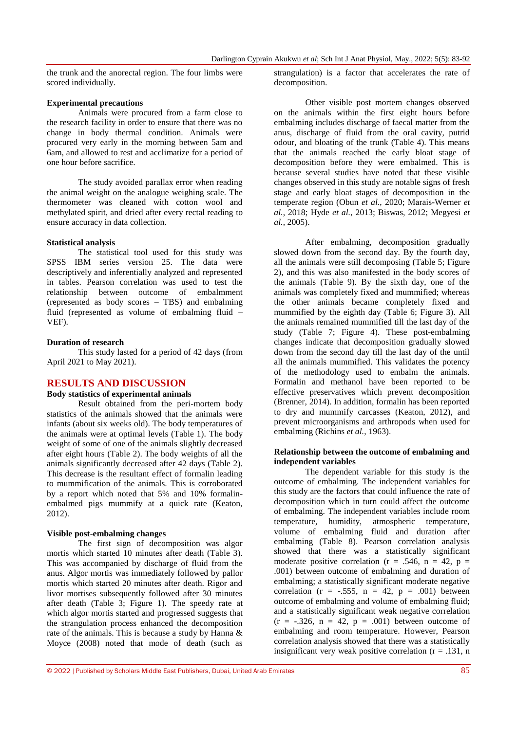the trunk and the anorectal region. The four limbs were scored individually.

#### **Experimental precautions**

Animals were procured from a farm close to the research facility in order to ensure that there was no change in body thermal condition. Animals were procured very early in the morning between 5am and 6am, and allowed to rest and acclimatize for a period of one hour before sacrifice.

The study avoided parallax error when reading the animal weight on the analogue weighing scale. The thermometer was cleaned with cotton wool and methylated spirit, and dried after every rectal reading to ensure accuracy in data collection.

#### **Statistical analysis**

The statistical tool used for this study was SPSS IBM series version 25. The data were descriptively and inferentially analyzed and represented in tables. Pearson correlation was used to test the relationship between outcome of embalmment (represented as body scores – TBS) and embalming fluid (represented as volume of embalming fluid – VEF).

#### **Duration of research**

This study lasted for a period of 42 days (from April 2021 to May 2021).

# **RESULTS AND DISCUSSION**

# **Body statistics of experimental animals**

Result obtained from the peri-mortem body statistics of the animals showed that the animals were infants (about six weeks old). The body temperatures of the animals were at optimal levels (Table 1). The body weight of some of one of the animals slightly decreased after eight hours (Table 2). The body weights of all the animals significantly decreased after 42 days (Table 2). This decrease is the resultant effect of formalin leading to mummification of the animals. This is corroborated by a report which noted that 5% and 10% formalinembalmed pigs mummify at a quick rate (Keaton, 2012).

### **Visible post-embalming changes**

The first sign of decomposition was algor mortis which started 10 minutes after death (Table 3). This was accompanied by discharge of fluid from the anus. Algor mortis was immediately followed by pallor mortis which started 20 minutes after death. Rigor and livor mortises subsequently followed after 30 minutes after death (Table 3; Figure 1). The speedy rate at which algor mortis started and progressed suggests that the strangulation process enhanced the decomposition rate of the animals. This is because a study by Hanna & Moyce (2008) noted that mode of death (such as

strangulation) is a factor that accelerates the rate of decomposition.

Other visible post mortem changes observed on the animals within the first eight hours before embalming includes discharge of faecal matter from the anus, discharge of fluid from the oral cavity, putrid odour, and bloating of the trunk (Table 4). This means that the animals reached the early bloat stage of decomposition before they were embalmed. This is because several studies have noted that these visible changes observed in this study are notable signs of fresh stage and early bloat stages of decomposition in the temperate region (Obun *et al.*, 2020; Marais-Werner *et al.*, 2018; Hyde *et al.*, 2013; Biswas, 2012; Megyesi *et al.*, 2005).

After embalming, decomposition gradually slowed down from the second day. By the fourth day, all the animals were still decomposing (Table 5; Figure 2), and this was also manifested in the body scores of the animals (Table 9). By the sixth day, one of the animals was completely fixed and mummified; whereas the other animals became completely fixed and mummified by the eighth day (Table 6; Figure 3). All the animals remained mummified till the last day of the study (Table 7; Figure 4). These post-embalming changes indicate that decomposition gradually slowed down from the second day till the last day of the until all the animals mummified. This validates the potency of the methodology used to embalm the animals. Formalin and methanol have been reported to be effective preservatives which prevent decomposition (Brenner, 2014). In addition, formalin has been reported to dry and mummify carcasses (Keaton, 2012), and prevent microorganisms and arthropods when used for embalming (Richins *et al.*, 1963).

#### **Relationship between the outcome of embalming and independent variables**

The dependent variable for this study is the outcome of embalming. The independent variables for this study are the factors that could influence the rate of decomposition which in turn could affect the outcome of embalming. The independent variables include room temperature, humidity, atmospheric temperature, volume of embalming fluid and duration after embalming (Table 8). Pearson correlation analysis showed that there was a statistically significant moderate positive correlation ( $r = .546$ ,  $n = 42$ ,  $p =$ .001) between outcome of embalming and duration of embalming; a statistically significant moderate negative correlation ( $r = -.555$ ,  $n = 42$ ,  $p = .001$ ) between outcome of embalming and volume of embalming fluid; and a statistically significant weak negative correlation  $(r = -.326, n = 42, p = .001)$  between outcome of embalming and room temperature. However, Pearson correlation analysis showed that there was a statistically insignificant very weak positive correlation  $(r = .131, n$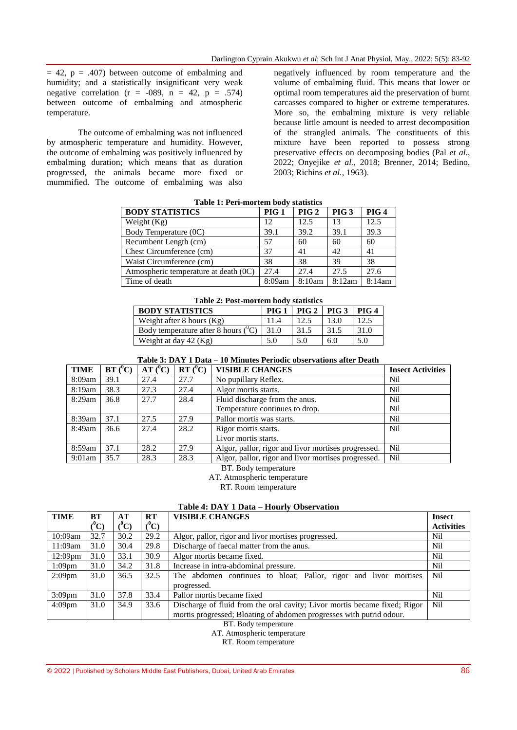$= 42$ ,  $p = .407$ ) between outcome of embalming and humidity; and a statistically insignificant very weak negative correlation  $(r = -089, n = 42, p = .574)$ between outcome of embalming and atmospheric temperature.

The outcome of embalming was not influenced by atmospheric temperature and humidity. However, the outcome of embalming was positively influenced by embalming duration; which means that as duration progressed, the animals became more fixed or mummified. The outcome of embalming was also

negatively influenced by room temperature and the volume of embalming fluid. This means that lower or optimal room temperatures aid the preservation of burnt carcasses compared to higher or extreme temperatures. More so, the embalming mixture is very reliable because little amount is needed to arrest decomposition of the strangled animals. The constituents of this mixture have been reported to possess strong preservative effects on decomposing bodies (Pal *et al.*, 2022; Onyejike *et al.*, 2018; Brenner, 2014; Bedino, 2003; Richins *et al.*, 1963).

| Table 1. I et l'hibi tem bouv statistics |                  |                  |                  |                  |  |  |  |  |  |  |
|------------------------------------------|------------------|------------------|------------------|------------------|--|--|--|--|--|--|
| <b>BODY STATISTICS</b>                   | PIG <sub>1</sub> | PIG <sub>2</sub> | PIG <sub>3</sub> | PIG <sub>4</sub> |  |  |  |  |  |  |
| Weight $(Kg)$                            | 12               | 12.5             | 13               | 12.5             |  |  |  |  |  |  |
| Body Temperature (0C)                    | 39.1             | 39.2             | 39.1             | 39.3             |  |  |  |  |  |  |
| Recumbent Length (cm)                    | 57               | 60               | 60               | 60               |  |  |  |  |  |  |
| Chest Circumference (cm)                 | 37               | 41               | 42               | 41               |  |  |  |  |  |  |
| Waist Circumference (cm)                 | 38               | 38               | 39               | 38               |  |  |  |  |  |  |
| Atmospheric temperature at death (0C)    | 27.4             | 27.4             | 27.5             | 27.6             |  |  |  |  |  |  |
| Time of death                            | 8:09am           | 8:10am           | 8:12am           | 8:14am           |  |  |  |  |  |  |

**Table 1: Peri-mortem body statistics**

| Table 2: Post-mortem body statistics   |       |               |      |       |  |  |  |  |
|----------------------------------------|-------|---------------|------|-------|--|--|--|--|
| <b>BODY STATISTICS</b>                 | PIG 1 | PIG 2   PIG 3 |      | PIG 4 |  |  |  |  |
| Weight after 8 hours $(Kg)$            | 11.4  | 12.5          | 13.0 | 12.5  |  |  |  |  |
| Body temperature after 8 hours $(^0C)$ | 31.0  | 31.5          | 31.5 | 31.0  |  |  |  |  |
| Weight at day 42 (Kg)                  | 5.0   | 5.0           | 6.0  | 5.0   |  |  |  |  |

| <b>TIME</b> | $BT (^0C)$ | $AT(^0C)$ | $RT(^0C)$ | <b>VISIBLE CHANGES</b>                              | <b>Insect Activities</b> |
|-------------|------------|-----------|-----------|-----------------------------------------------------|--------------------------|
| 8:09am      | 39.1       | 27.4      | 27.7      | No pupillary Reflex.                                | Nil                      |
| 8:19am      | 38.3       | 27.3      | 27.4      | Algor mortis starts.                                | Nil                      |
| 8:29am      | 36.8       | 27.7      | 28.4      | Fluid discharge from the anus.                      | Nil                      |
|             |            |           |           | Temperature continues to drop.                      | Nil                      |
| 8:39am      | 37.1       | 27.5      | 27.9      | Pallor mortis was starts.                           | Nil                      |
| 8:49am      | 36.6       | 27.4      | 28.2      | Rigor mortis starts.                                | Nil                      |
|             |            |           |           | Livor mortis starts.                                |                          |
| 8:59am      | 37.1       | 28.2      | 27.9      | Algor, pallor, rigor and livor mortises progressed. | Nil                      |
| $9:01$ am   | 35.7       | 28.3      | 28.3      | Algor, pallor, rigor and livor mortises progressed. | Nil                      |

BT. Body temperature

AT. Atmospheric temperature

RT. Room temperature

#### **Table 4: DAY 1 Data – Hourly Observation**

| <b>TIME</b>         | BT               | АT   | RT      | <b>VISIBLE CHANGES</b>                                                    | <b>Insect</b>     |
|---------------------|------------------|------|---------|---------------------------------------------------------------------------|-------------------|
|                     | $(^0\mathrm{C})$ | ("C) | $(^0C)$ |                                                                           | <b>Activities</b> |
| 10:09am             | 32.7             | 30.2 | 29.2    | Algor, pallor, rigor and livor mortises progressed.                       | Nil               |
| 11:09am             | 31.0             | 30.4 | 29.8    | Discharge of faecal matter from the anus.                                 | Nil               |
| 12:09 <sub>pm</sub> | 31.0             | 33.1 | 30.9    | Algor mortis became fixed.                                                | Nil               |
| $1:09$ pm           | 31.0             | 34.2 | 31.8    | Increase in intra-abdominal pressure.                                     | Nil               |
| $2:09$ pm           | 31.0             | 36.5 | 32.5    | The abdomen continues to bloat; Pallor, rigor and livor mortises          | Nil               |
|                     |                  |      |         | progressed.                                                               |                   |
| $3:09$ pm           | 31.0             | 37.8 | 33.4    | Pallor mortis became fixed                                                | Nil               |
| $4:09$ pm           | 31.0             | 34.9 | 33.6    | Discharge of fluid from the oral cavity; Livor mortis became fixed; Rigor | Nil               |
|                     |                  |      |         | mortis progressed; Bloating of abdomen progresses with putrid odour.      |                   |

BT. Body temperature

AT. Atmospheric temperature

RT. Room temperature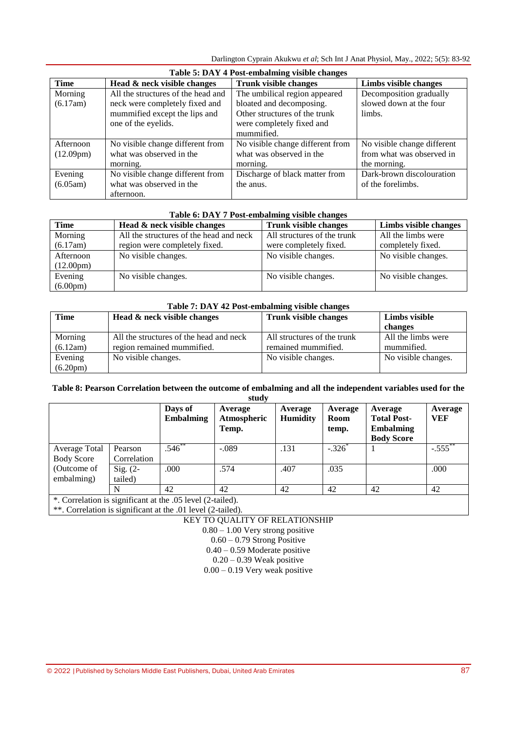Darlington Cyprain Akukwu *et al*; Sch Int J Anat Physiol, May., 2022; 5(5): 83-92

| Table 5: DAY 4 Post-embalming visible changes |                                    |                                  |                             |  |  |  |  |  |
|-----------------------------------------------|------------------------------------|----------------------------------|-----------------------------|--|--|--|--|--|
| <b>Time</b>                                   | Head & neck visible changes        | <b>Trunk visible changes</b>     | Limbs visible changes       |  |  |  |  |  |
| Morning                                       | All the structures of the head and | The umbilical region appeared    | Decomposition gradually     |  |  |  |  |  |
| (6.17am)                                      | neck were completely fixed and     | bloated and decomposing.         | slowed down at the four     |  |  |  |  |  |
|                                               | mummified except the lips and      | Other structures of the trunk    | limbs.                      |  |  |  |  |  |
|                                               | one of the eyelids.                | were completely fixed and        |                             |  |  |  |  |  |
|                                               |                                    | mummified.                       |                             |  |  |  |  |  |
| Afternoon                                     | No visible change different from   | No visible change different from | No visible change different |  |  |  |  |  |
| $(12.09 \text{pm})$                           | what was observed in the           | what was observed in the         | from what was observed in   |  |  |  |  |  |
|                                               | morning.                           | morning.                         | the morning.                |  |  |  |  |  |
| Evening                                       | No visible change different from   | Discharge of black matter from   | Dark-brown discolouration   |  |  |  |  |  |
| (6.05am)                                      | what was observed in the           | the anus.                        | of the forelimbs.           |  |  |  |  |  |
|                                               | afternoon.                         |                                  |                             |  |  |  |  |  |

| Table 6: DAY 7 Post-embalming visible changes |                                         |                              |                       |  |  |  |  |  |
|-----------------------------------------------|-----------------------------------------|------------------------------|-----------------------|--|--|--|--|--|
| <b>Time</b>                                   | Head & neck visible changes             | <b>Trunk visible changes</b> | Limbs visible changes |  |  |  |  |  |
| Morning                                       | All the structures of the head and neck | All structures of the trunk  | All the limbs were    |  |  |  |  |  |
| (6.17am)                                      | region were completely fixed.           | were completely fixed.       | completely fixed.     |  |  |  |  |  |
| Afternoon                                     | No visible changes.                     | No visible changes.          | No visible changes.   |  |  |  |  |  |
| $(12.00 \text{pm})$                           |                                         |                              |                       |  |  |  |  |  |
| Evening                                       | No visible changes.                     | No visible changes.          | No visible changes.   |  |  |  |  |  |
| $(6.00 \text{pm})$                            |                                         |                              |                       |  |  |  |  |  |

| Table 7: DAY 42 Post-embalming visible changes |                                         |                              |                     |  |  |  |  |  |
|------------------------------------------------|-----------------------------------------|------------------------------|---------------------|--|--|--|--|--|
| Time                                           | Head & neck visible changes             | <b>Trunk visible changes</b> | Limbs visible       |  |  |  |  |  |
|                                                |                                         |                              | changes             |  |  |  |  |  |
| Morning                                        | All the structures of the head and neck | All structures of the trunk  | All the limbs were  |  |  |  |  |  |
| (6.12am)                                       | region remained mummified.              | remained mummified.          | mummified.          |  |  |  |  |  |
| Evening                                        | No visible changes.                     | No visible changes.          | No visible changes. |  |  |  |  |  |
| $(6.20 \text{pm})$                             |                                         |                              |                     |  |  |  |  |  |

# **Table 8: Pearson Correlation between the outcome of embalming and all the independent variables used for the study**

|                                                            |                        | Days of<br><b>Embalming</b> | Average<br>Atmospheric<br>Temp. | Average<br><b>Humidity</b> | Average<br>Room<br>temp. | Average<br><b>Total Post-</b><br><b>Embalming</b><br><b>Body Score</b> | Average<br>VEF       |
|------------------------------------------------------------|------------------------|-----------------------------|---------------------------------|----------------------------|--------------------------|------------------------------------------------------------------------|----------------------|
| Average Total<br><b>Body Score</b>                         | Pearson<br>Correlation | $.546^{**}$                 | $-.089$                         | .131                       | $-.326$                  |                                                                        | $-.555$ <sup>*</sup> |
| (Outcome of<br>embalming)                                  | Sig. $(2-$<br>tailed)  | .000                        | .574                            | .407                       | .035                     |                                                                        | .000                 |
|                                                            | N                      | 42                          | 42                              | 42                         | 42                       | 42                                                                     | 42                   |
| *. Correlation is significant at the .05 level (2-tailed). |                        |                             |                                 |                            |                          |                                                                        |                      |

\*\*. Correlation is significant at the .01 level (2-tailed).

KEY TO QUALITY OF RELATIONSHIP

0.80 – 1.00 Very strong positive

 $0.60 - 0.79$  Strong Positive

0.40 – 0.59 Moderate positive

 $0.20 - 0.39$  Weak positive

0.00 – 0.19 Very weak positive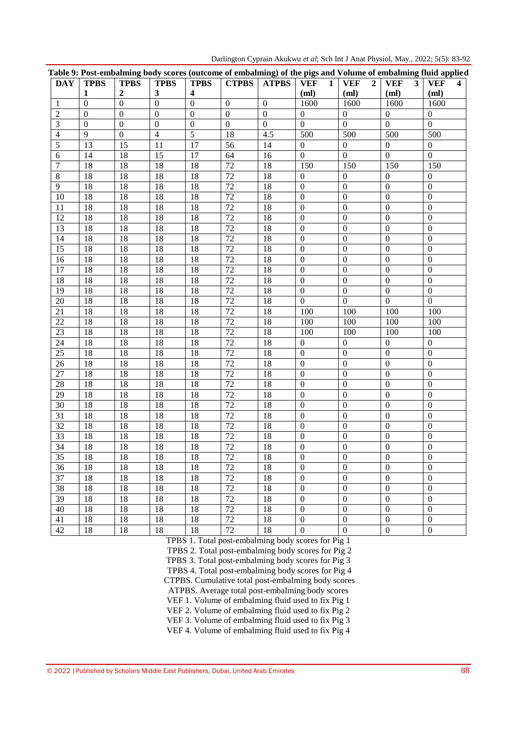| <b>DAY</b>      | <b>TPBS</b>     | <b>TPBS</b>      | <b>TPBS</b>      | <b>TPBS</b>             | <b>CTPBS</b>     | <b>ATPBS</b>     | <b>VEF</b><br>$\mathbf{1}$ | <b>VEF</b><br>$\overline{2}$ | <b>VEF</b><br>$\overline{\mathbf{3}}$ | <b>VEF</b><br>$\overline{\mathbf{4}}$ |
|-----------------|-----------------|------------------|------------------|-------------------------|------------------|------------------|----------------------------|------------------------------|---------------------------------------|---------------------------------------|
|                 | $\mathbf{1}$    | $\boldsymbol{2}$ | $\mathbf{3}$     | $\overline{\mathbf{4}}$ |                  |                  | (ml)                       | (ml)                         | (ml)                                  | (ml)                                  |
| 1               | $\overline{0}$  | $\overline{0}$   | $\mathbf{0}$     | $\overline{0}$          | $\boldsymbol{0}$ | $\boldsymbol{0}$ | 1600                       | 1600                         | 1600                                  | 1600                                  |
| $\overline{2}$  | $\Omega$        | $\Omega$         | $\Omega$         | $\theta$                | $\mathbf{0}$     | $\Omega$         | $\overline{0}$             | $\overline{0}$               | $\mathbf{0}$                          | $\boldsymbol{0}$                      |
| 3               | $\mathbf{0}$    | $\boldsymbol{0}$ | $\boldsymbol{0}$ | $\mathbf{0}$            | $\overline{0}$   | $\boldsymbol{0}$ | $\mathbf{0}$               | $\boldsymbol{0}$             | $\boldsymbol{0}$                      | $\boldsymbol{0}$                      |
| $\overline{4}$  | $\overline{9}$  | $\boldsymbol{0}$ | $\overline{4}$   | $\overline{5}$          | 18               | 4.5              | 500                        | 500                          | 500                                   | 500                                   |
| 5               | 13              | 15               | 11               | 17                      | $\overline{56}$  | $\overline{14}$  | $\overline{0}$             | $\overline{0}$               | $\boldsymbol{0}$                      | $\boldsymbol{0}$                      |
| 6               | 14              | 18               | 15               | 17                      | 64               | 16               | $\mathbf{0}$               | $\boldsymbol{0}$             | $\boldsymbol{0}$                      | $\overline{0}$                        |
| 7               | $\overline{18}$ | 18               | 18               | 18                      | $\overline{72}$  | 18               | 150                        | 150                          | 150                                   | 150                                   |
| $\,8\,$         | $\overline{18}$ | $\overline{18}$  | $\overline{18}$  | $\overline{18}$         | $\overline{72}$  | $\overline{18}$  | $\overline{0}$             | $\overline{0}$               | $\boldsymbol{0}$                      | $\boldsymbol{0}$                      |
| $\overline{9}$  | $\overline{18}$ | $\overline{18}$  | $\overline{18}$  | 18                      | $\overline{72}$  | $\overline{18}$  | $\boldsymbol{0}$           | $\mathbf{0}$                 | $\mathbf{0}$                          | $\boldsymbol{0}$                      |
| 10              | $\overline{18}$ | $\overline{18}$  | $\overline{18}$  | 18                      | $\overline{72}$  | $\overline{18}$  | $\mathbf{0}$               | $\overline{0}$               | $\mathbf{0}$                          | $\overline{0}$                        |
| 11              | $\overline{18}$ | 18               | $\overline{18}$  | 18                      | $\overline{72}$  | $\overline{18}$  | $\mathbf{0}$               | $\overline{0}$               | $\boldsymbol{0}$                      | $\boldsymbol{0}$                      |
| 12              | $\overline{18}$ | $\overline{18}$  | $\overline{18}$  | $\overline{18}$         | $\overline{72}$  | $\overline{18}$  | $\mathbf{0}$               | $\overline{0}$               | $\mathbf{0}$                          | $\boldsymbol{0}$                      |
| $\overline{13}$ | $\overline{18}$ | $\overline{18}$  | $\overline{18}$  | 18                      | $\overline{72}$  | $\overline{18}$  | $\mathbf{0}$               | $\mathbf{0}$                 | $\mathbf{0}$                          | $\boldsymbol{0}$                      |
| 14              | $\overline{18}$ | $\overline{18}$  | $\overline{18}$  | 18                      | $\overline{72}$  | $\overline{18}$  | $\mathbf{0}$               | $\overline{0}$               | $\mathbf{0}$                          | $\boldsymbol{0}$                      |
| $\overline{15}$ | $\overline{18}$ | $\overline{18}$  | $\overline{18}$  | $\overline{18}$         | $\overline{72}$  | $\overline{18}$  | $\mathbf{0}$               | $\overline{0}$               | $\boldsymbol{0}$                      | $\boldsymbol{0}$                      |
| 16              | $\overline{18}$ | $\overline{18}$  | $\overline{18}$  | $\overline{18}$         | $\overline{72}$  | $\overline{18}$  | $\boldsymbol{0}$           | $\mathbf{0}$                 | $\mathbf{0}$                          | $\boldsymbol{0}$                      |
| 17              | 18              | 18               | 18               | 18                      | $\overline{72}$  | 18               | $\mathbf{0}$               | $\mathbf{0}$                 | $\mathbf{0}$                          | $\boldsymbol{0}$                      |
| 18              | 18              | 18               | 18               | 18                      | 72               | 18               | $\boldsymbol{0}$           | $\mathbf{0}$                 | $\boldsymbol{0}$                      | $\boldsymbol{0}$                      |
| 19              | 18              | 18               | 18               | 18                      | 72               | 18               | $\boldsymbol{0}$           | $\boldsymbol{0}$             | $\mathbf{0}$                          | $\boldsymbol{0}$                      |
| $20\,$          | 18              | 18               | 18               | 18                      | 72               | 18               | $\overline{0}$             | $\boldsymbol{0}$             | $\mathbf{0}$                          | $\mathbf{0}$                          |
| 21              | 18              | 18               | 18               | 18                      | $\overline{72}$  | 18               | 100                        | 100                          | 100                                   | 100                                   |
| 22              | 18              | 18               | 18               | 18                      | 72               | 18               | 100                        | 100                          | 100                                   | 100                                   |
| 23              | 18              | 18               | 18               | 18                      | 72               | 18               | 100                        | 100                          | 100                                   | 100                                   |
| 24              | 18              | 18               | 18               | 18                      | 72               | 18               | $\theta$                   | $\overline{0}$               | $\mathbf{0}$                          | $\boldsymbol{0}$                      |
| 25              | 18              | 18               | 18               | 18                      | 72               | 18               | $\overline{0}$             | $\Omega$                     | $\mathbf{0}$                          | $\boldsymbol{0}$                      |
| 26              | 18              | 18               | 18               | 18                      | 72               | 18               | $\mathbf{0}$               | $\mathbf{0}$                 | $\boldsymbol{0}$                      | $\boldsymbol{0}$                      |
| 27              | 18              | 18               | 18               | 18                      | 72               | 18               | $\mathbf{0}$               | $\mathbf{0}$                 | $\boldsymbol{0}$                      | $\boldsymbol{0}$                      |
| 28              | 18              | 18               | 18               | 18                      | $\overline{72}$  | 18               | $\mathbf{0}$               | $\mathbf{0}$                 | $\mathbf{0}$                          | $\boldsymbol{0}$                      |
| 29              | 18              | 18               | 18               | 18                      | 72               | 18               | $\mathbf{0}$               | $\mathbf{0}$                 | $\boldsymbol{0}$                      | $\boldsymbol{0}$                      |
| 30              | 18              | 18               | 18               | 18                      | 72               | 18               | $\mathbf{0}$               | $\mathbf{0}$                 | $\boldsymbol{0}$                      | $\boldsymbol{0}$                      |
| 31              | 18              | 18               | 18               | 18                      | 72               | 18               | $\mathbf{0}$               | $\mathbf{0}$                 | $\boldsymbol{0}$                      | $\boldsymbol{0}$                      |
| 32              | 18              | 18               | 18               | 18                      | $\overline{72}$  | 18               | $\mathbf{0}$               | $\mathbf{0}$                 | $\boldsymbol{0}$                      | $\boldsymbol{0}$                      |
| 33              | 18              | 18               | 18               | 18                      | 72               | 18               | $\boldsymbol{0}$           | $\mathbf{0}$                 | $\boldsymbol{0}$                      | $\boldsymbol{0}$                      |
| 34              | 18              | 18               | 18               | 18                      | $72\,$           | 18               | $\boldsymbol{0}$           | $\boldsymbol{0}$             | $\boldsymbol{0}$                      | $\boldsymbol{0}$                      |
| 35              | 18              | 18               | 18               | 18                      | 72               | 18               | U                          | $\boldsymbol{0}$             | $\boldsymbol{0}$                      | $\boldsymbol{0}$                      |
| 36              | 18              | 18               | 18               | 18                      | 72               | 18               | $\boldsymbol{0}$           | $\boldsymbol{0}$             | $\mathbf{0}$                          | $\mathbf{0}$                          |
| 37              | 18              | 18               | 18               | 18                      | 72               | 18               | $\boldsymbol{0}$           | $\boldsymbol{0}$             | $\boldsymbol{0}$                      | $\boldsymbol{0}$                      |
| 38              | 18              | 18               | 18               | 18                      | 72               | 18               | $\boldsymbol{0}$           | $\boldsymbol{0}$             | $\boldsymbol{0}$                      | $\boldsymbol{0}$                      |
| 39              | 18              | 18               | 18               | 18                      | 72               | 18               | $\boldsymbol{0}$           | $\boldsymbol{0}$             | $\boldsymbol{0}$                      | $\boldsymbol{0}$                      |
| 40              | 18              | 18               | 18               | 18                      | 72               | 18               | $\boldsymbol{0}$           | $\boldsymbol{0}$             | $\boldsymbol{0}$                      | $\boldsymbol{0}$                      |
| 41              | 18              | 18               | 18               | 18                      | $72\,$           | 18               | $\boldsymbol{0}$           | $\boldsymbol{0}$             | $\boldsymbol{0}$                      | $\boldsymbol{0}$                      |
| 42              | 18              | 18               | 18               | 18                      | $72\,$           | 18               | $\boldsymbol{0}$           | $\boldsymbol{0}$             | $\boldsymbol{0}$                      | $\boldsymbol{0}$                      |

Darlington Cyprain Akukwu *et al*; Sch Int J Anat Physiol, May., 2022; 5(5): 83-92

TPBS 1. Total post-embalming body scores for Pig 1

TPBS 2. Total post-embalming body scores for Pig 2

TPBS 3. Total post-embalming body scores for Pig 3

TPBS 4. Total post-embalming body scores for Pig 4

CTPBS. Cumulative total post-embalming body scores

ATPBS. Average total post-embalming body scores

VEF 1. Volume of embalming fluid used to fix Pig 1

VEF 2. Volume of embalming fluid used to fix Pig 2

VEF 3. Volume of embalming fluid used to fix Pig 3

VEF 4. Volume of embalming fluid used to fix Pig 4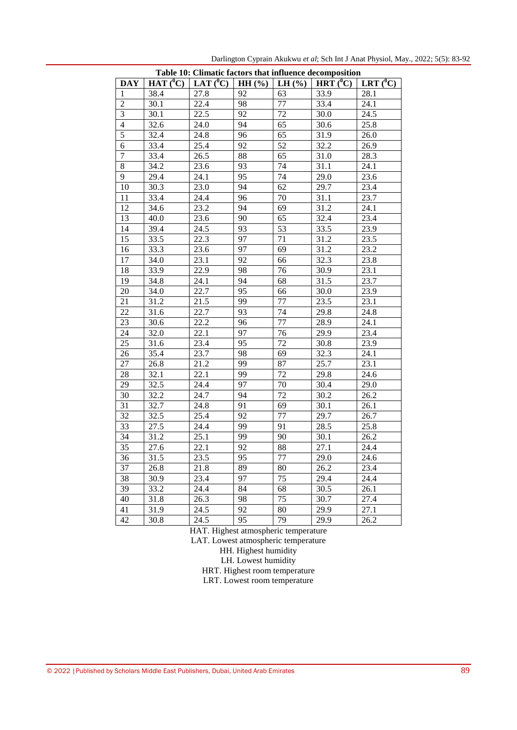| Table 10: Climatic factors that influence decomposition |              |                   |       |            |                          |                                  |  |  |  |
|---------------------------------------------------------|--------------|-------------------|-------|------------|--------------------------|----------------------------------|--|--|--|
| <b>DAY</b>                                              | $HAT(^{0}C)$ | LAT $(^0C)$       | HH(%) | LH $(\% )$ | HRT $\overline{({}^0C)}$ | $\overline{(^0}C)$<br><b>LRT</b> |  |  |  |
| $\mathbf{1}$                                            | 38.4         | 27.8              | 92    | 63         | 33.9                     | 28.1                             |  |  |  |
| $\overline{2}$                                          | 30.1         | 22.4              | 98    | 77         | 33.4                     | 24.1                             |  |  |  |
| 3                                                       | 30.1         | 22.5              | 92    | 72         | 30.0                     | 24.5                             |  |  |  |
| $\overline{4}$                                          | 32.6         | 24.0              | 94    | 65         | 30.6                     | 25.8                             |  |  |  |
| $\overline{5}$                                          | 32.4         | 24.8              | 96    | 65         | 31.9                     | 26.0                             |  |  |  |
| 6                                                       | 33.4         | 25.4              | 92    | 52         | 32.2                     | 26.9                             |  |  |  |
| $\overline{7}$                                          | 33.4         | 26.5              | 88    | 65         | 31.0                     | 28.3                             |  |  |  |
| 8                                                       | 34.2         | 23.6              | 93    | 74         | 31.1                     | 24.1                             |  |  |  |
| 9                                                       | 29.4         | 24.1              | 95    | 74         | 29.0                     | 23.6                             |  |  |  |
| 10                                                      | 30.3         | 23.0              | 94    | 62         | 29.7                     | 23.4                             |  |  |  |
| 11                                                      | 33.4         | 24.4              | 96    | 70         | 31.1                     | 23.7                             |  |  |  |
| 12                                                      | 34.6         | 23.2              | 94    | 69         | 31.2                     | 24.1                             |  |  |  |
| 13                                                      | 40.0         | 23.6              | 90    | 65         | 32.4                     | 23.4                             |  |  |  |
| 14                                                      | 39.4         | 24.5              | 93    | 53         | 33.5                     | 23.9                             |  |  |  |
| 15                                                      | 33.5         | 22.3              | 97    | 71         | 31.2                     | 23.5                             |  |  |  |
| 16                                                      | 33.3         | 23.6              | 97    | 69         | 31.2                     | 23.2                             |  |  |  |
| 17                                                      | 34.0         | 23.1              | 92    | 66         | 32.3                     | 23.8                             |  |  |  |
| 18                                                      | 33.9         | 22.9              | 98    | 76         | 30.9                     | 23.1                             |  |  |  |
| 19                                                      | 34.8         | 24.1              | 94    | 68         | 31.5                     | 23.7                             |  |  |  |
| 20                                                      | 34.0         | 22.7              | 95    | 66         | 30.0                     | 23.9                             |  |  |  |
| 21                                                      | 31.2         | 21.5              | 99    | 77         | 23.5                     | 23.1                             |  |  |  |
| 22                                                      | 31.6         | 22.7              | 93    | 74         | 29.8                     | 24.8                             |  |  |  |
| 23                                                      | 30.6         | 22.2              | 96    | 77         | 28.9                     | 24.1                             |  |  |  |
| 24                                                      | 32.0         | 22.1              | 97    | 76         | 29.9                     | 23.4                             |  |  |  |
| 25                                                      | 31.6         | 23.4              | 95    | 72         | 30.8                     | 23.9                             |  |  |  |
| 26                                                      | 35.4         | 23.7              | 98    | 69         | 32.3                     | 24.1                             |  |  |  |
| 27                                                      | 26.8         | 21.2              | 99    | 87         | 25.7                     | 23.1                             |  |  |  |
| 28                                                      | 32.1         | 22.1              | 99    | 72         | 29.8                     | 24.6                             |  |  |  |
| 29                                                      | 32.5         | 24.4              | 97    | 70         | 30.4                     | 29.0                             |  |  |  |
| 30                                                      | 32.2         | 24.7              | 94    | 72         | 30.2                     | 26.2                             |  |  |  |
| 31                                                      | 32.7         | 24.8              | 91    | 69         | 30.1                     | 26.1                             |  |  |  |
| 32                                                      | 32.5         | 25.4              | 92    | 77         | 29.7                     | 26.7                             |  |  |  |
| 33                                                      | 27.5         | 24.4              | 99    | 91         | 28.5                     | 25.8                             |  |  |  |
| 34                                                      | 31.2         | 25.1              | 99    | 90         | 30.1                     | 26.2                             |  |  |  |
| 35                                                      | 27.6         | 22.1              | 92    | 88         | 27.1                     | 24.4                             |  |  |  |
| $\overline{36}$                                         | 31.5         | 23.5              | 95    | $77 \,$    | 29.0                     | 24.6                             |  |  |  |
| 37                                                      | 26.8         | 21.8              | 89    | 80         | 26.2                     | 23.4                             |  |  |  |
| 38                                                      | 30.9         | 23.4              | 97    | 75         | 29.4                     | 24.4                             |  |  |  |
| 39                                                      | 33.2         | 24.4              | 84    | 68         | 30.5                     | 26.1                             |  |  |  |
| 40                                                      | 31.8         | 26.3              | 98    | 75         | 30.7                     | 27.4                             |  |  |  |
| 41                                                      | 31.9         | 24.5              | 92    | 80         | 29.9                     | 27.1                             |  |  |  |
| 42                                                      | 30.8         | $\overline{2}4.5$ | 95    | 79         | 29.9                     | 26.2                             |  |  |  |

Darlington Cyprain Akukwu *et al*; Sch Int J Anat Physiol, May., 2022; 5(5): 83-92

HAT. Highest atmospheric temperature

LAT. Lowest atmospheric temperature

HH. Highest humidity

LH. Lowest humidity

HRT. Highest room temperature

LRT. Lowest room temperature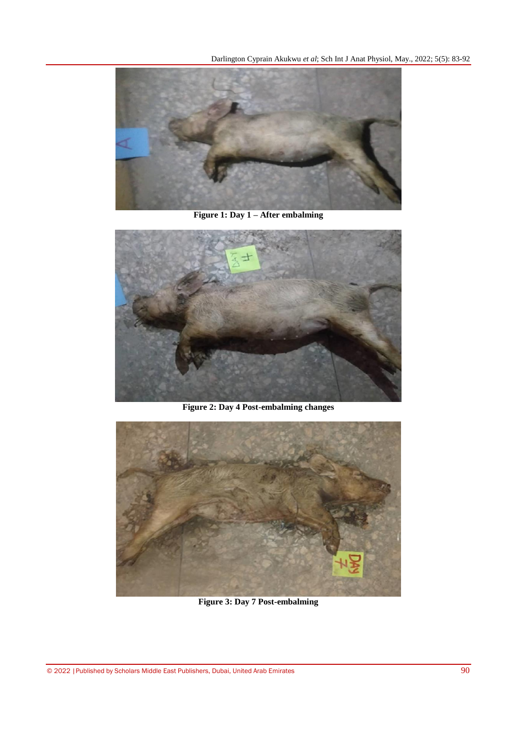Darlington Cyprain Akukwu *et al*; Sch Int J Anat Physiol, May., 2022; 5(5): 83-92



**Figure 1: Day 1 – After embalming**



**Figure 2: Day 4 Post-embalming changes**



**Figure 3: Day 7 Post-embalming**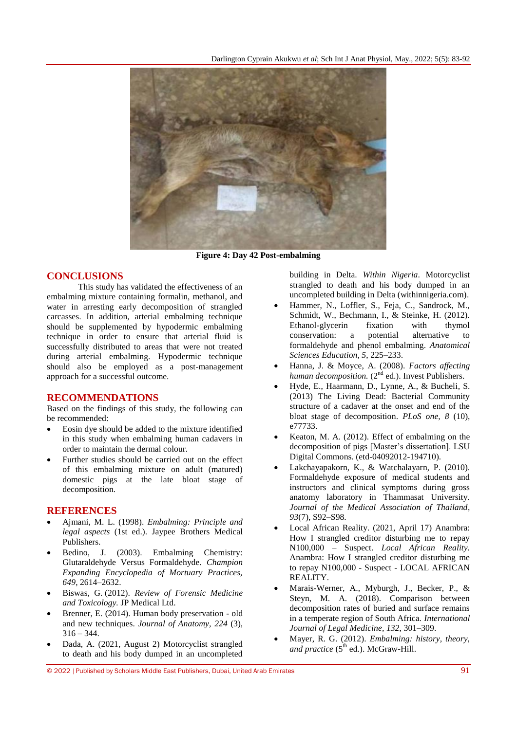

**Figure 4: Day 42 Post-embalming**

# **CONCLUSIONS**

This study has validated the effectiveness of an embalming mixture containing formalin, methanol, and water in arresting early decomposition of strangled carcasses. In addition, arterial embalming technique should be supplemented by hypodermic embalming technique in order to ensure that arterial fluid is successfully distributed to areas that were not treated during arterial embalming. Hypodermic technique should also be employed as a post-management approach for a successful outcome.

# **RECOMMENDATIONS**

Based on the findings of this study, the following can be recommended:

- Eosin dye should be added to the mixture identified in this study when embalming human cadavers in order to maintain the dermal colour.
- Further studies should be carried out on the effect of this embalming mixture on adult (matured) domestic pigs at the late bloat stage of decomposition.

# **REFERENCES**

- Ajmani, M. L. (1998). *Embalming: Principle and legal aspects* (1st ed.). Jaypee Brothers Medical Publishers.
- Bedino, J. (2003). Embalming Chemistry: Glutaraldehyde Versus Formaldehyde. *Champion Expanding Encyclopedia of Mortuary Practices, 649*, 2614–2632.
- Biswas, G. (2012). *Review of Forensic Medicine and Toxicology.* JP Medical Ltd.
- Brenner, E. (2014). Human body preservation old and new techniques. *Journal of Anatomy, 224* (3),  $316 - 344.$
- Dada, A. (2021, August 2) Motorcyclist strangled to death and his body dumped in an uncompleted

building in Delta. *Within Nigeria*. [Motorcyclist](https://www.withinnigeria.com/news/2021/08/02/motorcyclist-strangled-to-death-and-his-body-dumped-in-an-uncompleted-building-in-delta/)  [strangled to death and his body dumped in an](https://www.withinnigeria.com/news/2021/08/02/motorcyclist-strangled-to-death-and-his-body-dumped-in-an-uncompleted-building-in-delta/)  [uncompleted building in Delta \(withinnigeria.com\).](https://www.withinnigeria.com/news/2021/08/02/motorcyclist-strangled-to-death-and-his-body-dumped-in-an-uncompleted-building-in-delta/)

- Hammer, N., Loffler, S., Feja, C., Sandrock, M., Schmidt, W., Bechmann, I., & Steinke, H. (2012). Ethanol-glycerin fixation with thymol conservation: a potential alternative to formaldehyde and phenol embalming. *Anatomical Sciences Education, 5*, 225–233.
- Hanna, J. & Moyce, A. (2008). *Factors affecting human decomposition.* (2<sup>nd</sup> ed.). Invest Publishers.
- Hyde, E., Haarmann, D., Lynne, A., & Bucheli, S. (2013) The Living Dead: Bacterial Community structure of a cadaver at the onset and end of the bloat stage of decomposition. *PLoS one, 8* (10), e77733.
- Keaton, M. A. (2012). Effect of [embalming](https://digitalcommons.lsu.edu/cgi/viewcontent.cgi?article=4349&context=gradschool_theses) on the [decomposition](https://digitalcommons.lsu.edu/cgi/viewcontent.cgi?article=4349&context=gradschool_theses) of pigs [Master's dissertation]. LSU Digital Commons. (etd-04092012-194710).
- Lakchayapakorn, K., & Watchalayarn, P. (2010). Formaldehyde exposure of medical students and instructors and clinical symptoms during gross anatomy laboratory in Thammasat University. *Journal of the Medical Association of Thailand*, *93*(7), S92–S98.
- Local African Reality. (2021, April 17) Anambra: How I strangled creditor disturbing me to repay N100,000 – Suspect. *Local African Reality.* [Anambra: How I strangled creditor disturbing me](https://www.localafricanreality.com/2021/04/anambra-how-i-strangled-creditor.html)  [to repay N100,000 -](https://www.localafricanreality.com/2021/04/anambra-how-i-strangled-creditor.html) Suspect - LOCAL AFRICAN [REALITY.](https://www.localafricanreality.com/2021/04/anambra-how-i-strangled-creditor.html)
- Marais-Werner, A., Myburgh, J., Becker, P., & Steyn, M. A. (2018). Comparison between decomposition rates of buried and surface remains in a temperate region of South Africa. *International Journal of Legal Medicine, 132*, 301–309.
- Mayer, R. G. (2012). *Embalming: history, theory, and practice* (5<sup>th</sup> ed.). McGraw-Hill.